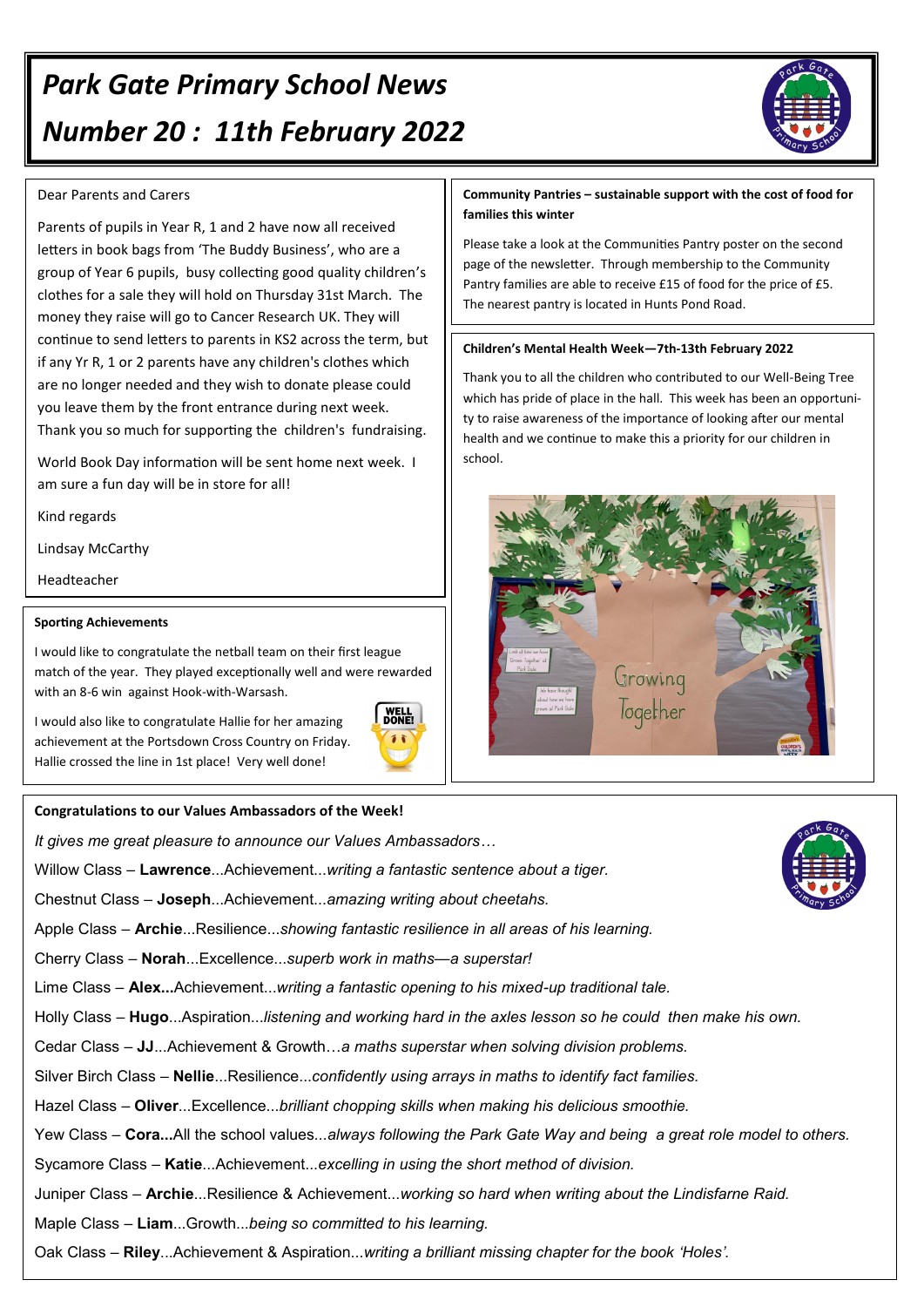# *Park Gate Primary School News Number 20 : 11th February 2022*



Parents of pupils in Year R, 1 and 2 have now all received letters in book bags from 'The Buddy Business', who are a group of Year 6 pupils, busy collecting good quality children's clothes for a sale they will hold on Thursday 31st March. The money they raise will go to Cancer Research UK. They will continue to send letters to parents in KS2 across the term, but if any Yr R, 1 or 2 parents have any children's clothes which are no longer needed and they wish to donate please could you leave them by the front entrance during next week. Thank you so much for supporting the children's fundraising.

World Book Day information will be sent home next week. I am sure a fun day will be in store for all!

Kind regards

Lindsay McCarthy

Headteacher

#### **Sporting Achievements**

I would like to congratulate the netball team on their first league match of the year. They played exceptionally well and were rewarded with an 8-6 win against Hook-with-Warsash.

I would also like to congratulate Hallie for her amazing achievement at the Portsdown Cross Country on Friday. Hallie crossed the line in 1st place! Very well done!



#### **Congratulations to our Values Ambassadors of the Week!**

*It gives me great pleasure to announce our Values Ambassadors…*

Willow Class – **Lawrence**...Achievement...*writing a fantastic sentence about a tiger.*

Chestnut Class – **Joseph**...Achievement...*amazing writing about cheetahs.*

Apple Class – **Archie**...Resilience...*showing fantastic resilience in all areas of his learning.*

Cherry Class – **Norah**...Excellence...*superb work in maths—a superstar!*

Lime Class – **Alex...**Achievement...*writing a fantastic opening to his mixed-up traditional tale.*

Holly Class – **Hugo**...Aspiration...*listening and working hard in the axles lesson so he could then make his own.*

Cedar Class – **JJ**...Achievement & Growth…*a maths superstar when solving division problems.*

Silver Birch Class – **Nellie**...Resilience...*confidently using arrays in maths to identify fact families.*

Hazel Class *–* **Oliver**...Excellence...*brilliant chopping skills when making his delicious smoothie.*

Yew Class – **Cora...**All the school values*...always following the Park Gate Way and being a great role model to others.*

Sycamore Class – **Katie**...Achievement...*excelling in using the short method of division.*

Juniper Class – **Archie**...Resilience & Achievement...*working so hard when writing about the Lindisfarne Raid.*

Maple Class – **Liam**...Growth...*being so committed to his learning.*

Oak Class – **Riley**...Achievement & Aspiration...*writing a brilliant missing chapter for the book 'Holes'.*



**Community Pantries – sustainable support with the cost of food for families this winter** 

Please take a look at the Communities Pantry poster on the second page of the newsletter. Through membership to the Community Pantry families are able to receive £15 of food for the price of £5. The nearest pantry is located in Hunts Pond Road.

#### **Children's Mental Health Week—7th-13th February 2022**

Thank you to all the children who contributed to our Well-Being Tree which has pride of place in the hall. This week has been an opportunity to raise awareness of the importance of looking after our mental health and we continue to make this a priority for our children in school.